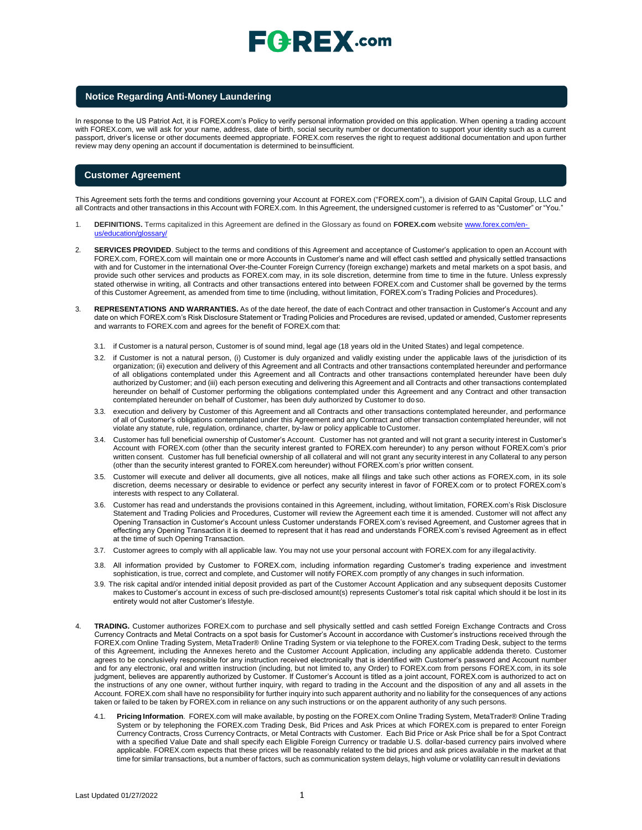# $\mathsf{F}$   $\mathsf{P}$   $\mathsf{R}$   $\mathsf{E}$   $\mathsf{X}$  .com

### **Notice Regarding Anti-Money Laundering**

In response to the US Patriot Act, it is FOREX.com's Policy to verify personal information provided on this application. When opening a trading account with FOREX.com, we will ask for your name, address, date of birth, social security number or documentation to support your identity such as a current passport, driver's license or other documents deemed appropriate. FOREX.com reserves the right to request additional documentation and upon further review may deny opening an account if documentation is determined to be insufficient.

### **Customer Agreement**

This Agreement sets forth the terms and conditions governing your Account at FOREX.com ("FOREX.com"), a division of GAIN Capital Group, LLC and all Contracts and other transactions in this Account with FOREX.com. In this Agreement, the undersigned customer is referred to as "Customer" or "You."

- 1. **DEFINITIONS.** Terms capitalized in this Agreement are defined in the Glossary as found on **FOREX.com** website [www.forex.com/en](http://www.forex.com/en-us/education/glossary/)ducation/glossary/
- 2. **SERVICES PROVIDED**. Subject to the terms and conditions of this Agreement and acceptance of Customer's application to open an Account with FOREX.com, FOREX.com will maintain one or more Accounts in Customer's name and will effect cash settled and physically settled transactions with and for Customer in the international Over-the-Counter Foreign Currency (foreign exchange) markets and metal markets on a spot basis, and provide such other services and products as FOREX.com may, in its sole discretion, determine from time to time in the future. Unless expressly stated otherwise in writing, all Contracts and other transactions entered into between FOREX.com and Customer shall be governed by the terms of this Customer Agreement, as amended from time to time (including, without limitation, FOREX.com's Trading Policies and Procedures).
- 3. **REPRESENTATIONS AND WARRANTIES.** As of the date hereof, the date of each Contract and other transaction in Customer's Account and any date on which FOREX.com's Risk Disclosure Statement or Trading Policies and Procedures are revised, updated or amended, Customer represents and warrants to FOREX.com and agrees for the benefit of FOREX.com that:
	- 3.1. if Customer is a natural person, Customer is of sound mind, legal age (18 years old in the United States) and legal competence.
	- 3.2. if Customer is not a natural person, (i) Customer is duly organized and validly existing under the applicable laws of the jurisdiction of its organization; (ii) execution and delivery of this Agreement and all Contracts and other transactions contemplated hereunder and performance of all obligations contemplated under this Agreement and all Contracts and other transactions contemplated hereunder have been duly authorized by Customer; and (iii) each person executing and delivering this Agreement and all Contracts and other transactions contemplated hereunder on behalf of Customer performing the obligations contemplated under this Agreement and any Contract and other transaction contemplated hereunder on behalf of Customer, has been duly authorized by Customer to doso.
	- 3.3. execution and delivery by Customer of this Agreement and all Contracts and other transactions contemplated hereunder, and performance of all of Customer's obligations contemplated under this Agreement and any Contract and other transaction contemplated hereunder, will not violate any statute, rule, regulation, ordinance, charter, by-law or policy applicable toCustomer.
	- 3.4. Customer has full beneficial ownership of Customer's Account. Customer has not granted and will not grant a security interest in Customer's Account with FOREX.com (other than the security interest granted to FOREX.com hereunder) to any person without FOREX.com's prior written consent. Customer has full beneficial ownership of all collateral and will not grant any security interest in any Collateral to any person (other than the security interest granted to FOREX.com hereunder) without FOREX.com's prior written consent.
	- 3.5. Customer will execute and deliver all documents, give all notices, make all filings and take such other actions as FOREX.com, in its sole discretion, deems necessary or desirable to evidence or perfect any security interest in favor of FOREX.com or to protect FOREX.com's interests with respect to any Collateral.
	- 3.6. Customer has read and understands the provisions contained in this Agreement, including, without limitation, FOREX.com's Risk Disclosure Statement and Trading Policies and Procedures, Customer will review the Agreement each time it is amended. Customer will not affect any Opening Transaction in Customer's Account unless Customer understands FOREX.com's revised Agreement, and Customer agrees that in effecting any Opening Transaction it is deemed to represent that it has read and understands FOREX.com's revised Agreement as in effect at the time of such Opening Transaction.
	- 3.7. Customer agrees to comply with all applicable law. You may not use your personal account with FOREX.com for any illegalactivity.
	- 3.8. All information provided by Customer to FOREX.com, including information regarding Customer's trading experience and investment sophistication, is true, correct and complete, and Customer will notify FOREX.com promptly of any changes in such information.
	- 3.9. The risk capital and/or intended initial deposit provided as part of the Customer Account Application and any subsequent deposits Customer makes to Customer's account in excess of such pre-disclosed amount(s) represents Customer's total risk capital which should it be lost in its entirety would not alter Customer's lifestyle.
- 4. **TRADING.** Customer authorizes FOREX.com to purchase and sell physically settled and cash settled Foreign Exchange Contracts and Cross Currency Contracts and Metal Contracts on a spot basis for Customer's Account in accordance with Customer's instructions received through the FOREX.com Online Trading System, MetaTrader® Online Trading System or via telephone to the FOREX.com Trading Desk, subject to the terms of this Agreement, including the Annexes hereto and the Customer Account Application, including any applicable addenda thereto. Customer agrees to be conclusively responsible for any instruction received electronically that is identified with Customer's password and Account number and for any electronic, oral and written instruction (including, but not limited to, any Order) to FOREX.com from persons FOREX.com, in its sole judgment, believes are apparently authorized by Customer. If Customer's Account is titled as a joint account, FOREX.com is authorized to act on the instructions of any one owner, without further inquiry, with regard to trading in the Account and the disposition of any and all assets in the Account. FOREX.com shall have no responsibility for further inquiry into such apparent authority and no liability for the consequences of any actions taken or failed to be taken by FOREX.com in reliance on any such instructions or on the apparent authority of any such persons.
	- 4.1. **Pricing Information**. FOREX.com will make available, by posting on the FOREX.com Online Trading System, MetaTrader® Online Trading System or by telephoning the FOREX.com Trading Desk, Bid Prices and Ask Prices at which FOREX.com is prepared to enter Foreign Currency Contracts, Cross Currency Contracts, or Metal Contracts with Customer. Each Bid Price or Ask Price shall be for a Spot Contract with a specified Value Date and shall specify each Eligible Foreign Currency or tradable U.S. dollar-based currency pairs involved where applicable. FOREX.com expects that these prices will be reasonably related to the bid prices and ask prices available in the market at that time for similar transactions, but a number of factors, such as communication system delays, high volume or volatility can result in deviations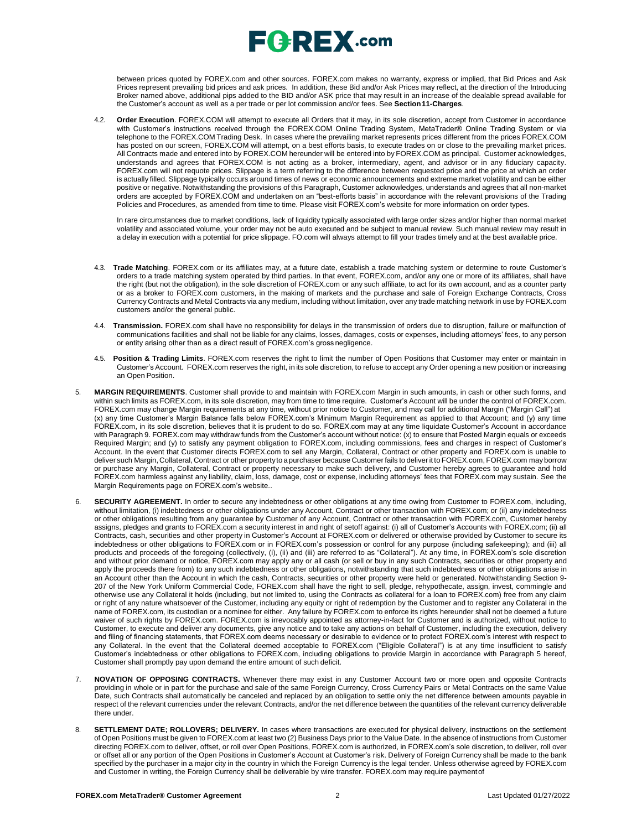# $E$ **G**  $R$ **EX** .com

between prices quoted by FOREX.com and other sources. FOREX.com makes no warranty, express or implied, that Bid Prices and Ask Prices represent prevailing bid prices and ask prices. In addition, these Bid and/or Ask Prices may reflect, at the direction of the Introducing Broker named above, additional pips added to the BID and/or ASK price that may result in an increase of the dealable spread available for the Customer's account as well as a per trade or per lot commission and/or fees. See **Section11-Charges**.

4.2. **Order Execution**. FOREX.COM will attempt to execute all Orders that it may, in its sole discretion, accept from Customer in accordance with Customer's instructions received through the FOREX.COM Online Trading System, MetaTrader® Online Trading System or via telephone to the FOREX.COM Trading Desk. In cases where the prevailing market represents prices different from the prices FOREX.COM has posted on our screen, FOREX.COM will attempt, on a best efforts basis, to execute trades on or close to the prevailing market prices. All Contracts made and entered into by FOREX.COM hereunder will be entered into by FOREX.COM as principal. Customer acknowledges, understands and agrees that FOREX.COM is not acting as a broker, intermediary, agent, and advisor or in any fiduciary capacity. FOREX.com will not requote prices. Slippage is a term referring to the difference between requested price and the price at which an order is actually filled. Slippage typically occurs around times of news or economic announcements and extreme market volatility and can be either positive or negative. Notwithstanding the provisions of this Paragraph, Customer acknowledges, understands and agrees that all non-market orders are accepted by FOREX.COM and undertaken on an "best-efforts basis" in accordance with the relevant provisions of the Trading Policies and Procedures, as amended from time to time. Please visit FOREX.com's website for more information on order types.

In rare circumstances due to market conditions, lack of liquidity typically associated with large order sizes and/or higher than normal market volatility and associated volume, your order may not be auto executed and be subject to manual review. Such manual review may result in a delay in execution with a potential for price slippage. [FO.com w](http://forex.com/)ill always attempt to fill your trades timely and at the best available price.

- 4.3. **Trade Matching**. FOREX.com or its affiliates may, at a future date, establish a trade matching system or determine to route Customer's orders to a trade matching system operated by third parties. In that event, FOREX.com, and/or any one or more of its affiliates, shall have the right (but not the obligation), in the sole discretion of FOREX.com or any such affiliate, to act for its own account, and as a counter party or as a broker to FOREX.com customers, in the making of markets and the purchase and sale of Foreign Exchange Contracts, Cross Currency Contracts and Metal Contracts via any medium, including without limitation, over any trade matching network in use by FOREX.com customers and/or the general public.
- 4.4. **Transmission.** FOREX.com shall have no responsibility for delays in the transmission of orders due to disruption, failure or malfunction of communications facilities and shall not be liable for any claims, losses, damages, costs or expenses, including attorneys' fees, to any person or entity arising other than as a direct result of FOREX.com's gross negligence.
- 4.5. **Position & Trading Limits**. FOREX.com reserves the right to limit the number of Open Positions that Customer may enter or maintain in Customer's Account. FOREX.com reserves the right, in its sole discretion, to refuse to accept any Order opening a new position or increasing an Open Position.
- 5. **MARGIN REQUIREMENTS**. Customer shall provide to and maintain with FOREX.com Margin in such amounts, in cash or other such forms, and within such limits as FOREX.com, in its sole discretion, may from time to time require. Customer's Account will be under the control of FOREX.com. FOREX.com may change Margin requirements at any time, without prior notice to Customer, and may call for additional Margin ("Margin Call") at (x) any time Customer's Margin Balance falls below FOREX.com's Minimum Margin Requirement as applied to that Account; and (y) any time FOREX.com, in its sole discretion, believes that it is prudent to do so. FOREX.com may at any time liquidate Customer's Account in accordance with Paragraph 9. FOREX.com may withdraw funds from the Customer's account without notice: (x) to ensure that Posted Margin equals or exceeds Required Margin; and (y) to satisfy any payment obligation to FOREX.com, including commissions, fees and charges in respect of Customer's Account. In the event that Customer directs FOREX.com to sell any Margin, Collateral, Contract or other property and FOREX.com is unable to deliver such Margin, Collateral, Contract or other propertyto a purchaser because Customer fails to deliverit to FOREX.com, FOREX.com may borrow or purchase any Margin, Collateral, Contract or property necessary to make such delivery, and Customer hereby agrees to guarantee and hold FOREX.com harmless against any liability, claim, loss, damage, cost or expense, including attorneys' fees that FOREX.com may sustain. See the Margin Requirements page on FOREX.com's website..
- 6. **SECURITY AGREEMENT.** In order to secure any indebtedness or other obligations at any time owing from Customer to FOREX.com, including, without limitation, (i) indebtedness or other obligations under any Account, Contract or other transaction with FOREX.com; or (ii) any indebtedness or other obligations resulting from any guarantee by Customer of any Account, Contract or other transaction with FOREX.com, Customer hereby assigns, pledges and grants to FOREX.com a security interest in and right of setoff against: (i) all of Customer's Accounts with FOREX.com; (ii) all Contracts, cash, securities and other property in Customer's Account at FOREX.com or delivered or otherwise provided by Customer to secure its indebtedness or other obligations to FOREX.com or in FOREX.com's possession or control for any purpose (including safekeeping); and (iii) all products and proceeds of the foregoing (collectively, (i), (ii) and (iii) are referred to as "Collateral"). At any time, in FOREX.com's sole discretion and without prior demand or notice, FOREX.com may apply any or all cash (or sell or buy in any such Contracts, securities or other property and apply the proceeds there from) to any such indebtedness or other obligations, notwithstanding that such indebtedness or other obligations arise in an Account other than the Account in which the cash, Contracts, securities or other property were held or generated. Notwithstanding Section 9- 207 of the New York Uniform Commercial Code, FOREX.com shall have the right to sell, pledge, rehypothecate, assign, invest, commingle and otherwise use any Collateral it holds (including, but not limited to, using the Contracts as collateral for a loan to FOREX.com) free from any claim or right of any nature whatsoever of the Customer, including any equity or right of redemption by the Customer and to register any Collateral in the name of FOREX.com, its custodian or a nominee for either. Any failure by FOREX.com to enforce its rights hereunder shall not be deemed a future waiver of such rights by FOREX.com. FOREX.com is irrevocably appointed as attorney-in-fact for Customer and is authorized, without notice to Customer, to execute and deliver any documents, give any notice and to take any actions on behalf of Customer, including the execution, delivery and filing of financing statements, that FOREX.com deems necessary or desirable to evidence or to protect FOREX.com's interest with respect to any Collateral. In the event that the Collateral deemed acceptable to FOREX.com ("Eligible Collateral") is at any time insufficient to satisfy Customer's indebtedness or other obligations to FOREX.com, including obligations to provide Margin in accordance with Paragraph 5 hereof, Customer shall promptly pay upon demand the entire amount of such deficit.
- 7. **NOVATION OF OPPOSING CONTRACTS.** Whenever there may exist in any Customer Account two or more open and opposite Contracts providing in whole or in part for the purchase and sale of the same Foreign Currency, Cross Currency Pairs or Metal Contracts on the same Value Date, such Contracts shall automatically be canceled and replaced by an obligation to settle only the net difference between amounts payable in respect of the relevant currencies under the relevant Contracts, and/or the net difference between the quantities of the relevant currency deliverable there under.
- SETTLEMENT DATE; ROLLOVERS; DELIVERY. In cases where transactions are executed for physical delivery, instructions on the settlement of Open Positions must be given to FOREX.com at least two (2) Business Days prior to the Value Date. In the absence of instructions from Customer directing FOREX.com to deliver, offset, or roll over Open Positions, FOREX.com is authorized, in FOREX.com's sole discretion, to deliver, roll over or offset all or any portion of the Open Positions in Customer's Account at Customer's risk. Delivery of Foreign Currency shall be made to the bank specified by the purchaser in a major city in the country in which the Foreign Currency is the legal tender. Unless otherwise agreed by FOREX.com and Customer in writing, the Foreign Currency shall be deliverable by wire transfer. FOREX.com may require paymentof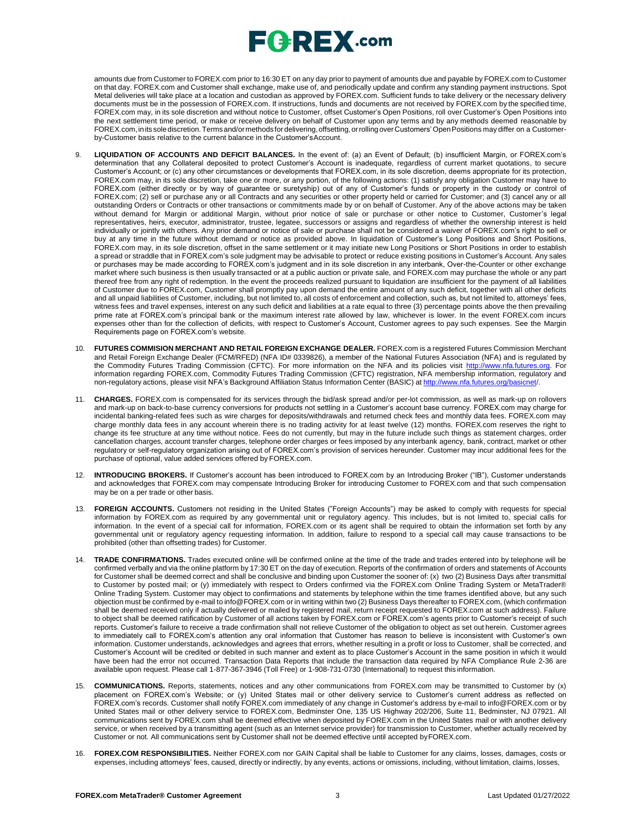# $E$ **G**  $R$ **EX** .com

amounts due from Customer to FOREX.com prior to 16:30 ET on any day prior to payment of amounts due and payable by FOREX.com to Customer on that day. FOREX.com and Customer shall exchange, make use of, and periodically update and confirm any standing payment instructions. Spot Metal deliveries will take place at a location and custodian as approved by FOREX.com. Sufficient funds to take delivery or the necessary delivery documents must be in the possession of FOREX.com. If instructions, funds and documents are not received by FOREX.com by the specified time, FOREX.com may, in its sole discretion and without notice to Customer, offset Customer's Open Positions, roll over Customer's Open Positions into the next settlement time period, or make or receive delivery on behalf of Customer upon any terms and by any methods deemed reasonable by FOREX.com,inits solediscretion.Termsand/ormethods for delivering,offsetting, orrollingoverCustomers' OpenPositions may differ on a Customerby-Customer basis relative to the current balance in the Customer'sAccount.

- LIQUIDATION OF ACCOUNTS AND DEFICIT BALANCES. In the event of: (a) an Event of Default; (b) insufficient Margin, or FOREX.com's determination that any Collateral deposited to protect Customer's Account is inadequate, regardless of current market quotations, to secure Customer's Account; or (c) any other circumstances or developments that FOREX.com, in its sole discretion, deems appropriate for its protection, FOREX.com may, in its sole discretion, take one or more, or any portion, of the following actions: (1) satisfy any obligation Customer may have to FOREX.com (either directly or by way of guarantee or suretyship) out of any of Customer's funds or property in the custody or control of FOREX.com; (2) sell or purchase any or all Contracts and any securities or other property held or carried for Customer; and (3) cancel any or all outstanding Orders or Contracts or other transactions or commitments made by or on behalf of Customer. Any of the above actions may be taken without demand for Margin or additional Margin, without prior notice of sale or purchase or other notice to Customer, Customer's legal representatives, heirs, executor, administrator, trustee, legatee, successors or assigns and regardless of whether the ownership interest is held individually or jointly with others. Any prior demand or notice of sale or purchase shall not be considered a waiver of FOREX.com's right to sell or buy at any time in the future without demand or notice as provided above. In liquidation of Customer's Long Positions and Short Positions, FOREX.com may, in its sole discretion, offset in the same settlement or it may initiate new Long Positions or Short Positions in order to establish a spread or straddle that in FOREX.com's sole judgment may be advisable to protect or reduce existing positions in Customer's Account. Any sales or purchases may be made according to FOREX.com's judgment and in its sole discretion in any interbank, Over-the-Counter or other exchange market where such business is then usually transacted or at a public auction or private sale, and FOREX.com may purchase the whole or any part thereof free from any right of redemption. In the event the proceeds realized pursuant to liquidation are insufficient for the payment of all liabilities of Customer due to FOREX.com, Customer shall promptly pay upon demand the entire amount of any such deficit, together with all other deficits and all unpaid liabilities of Customer, including, but not limited to, all costs of enforcement and collection, such as, but not limited to, attorneys' fees, witness fees and travel expenses, interest on any such deficit and liabilities at a rate equal to three (3) percentage points above the then prevailing prime rate at FOREX.com's principal bank or the maximum interest rate allowed by law, whichever is lower. In the event FOREX.com incurs expenses other than for the collection of deficits, with respect to Customer's Account, Customer agrees to pay such expenses. See the Margin Requirements page on FOREX.com's website.
- 10. **FUTURES COMMISION MERCHANT AND RETAIL FOREIGN EXCHANGE DEALER.** FOREX.com is a registered Futures Commission Merchant and Retail Foreign Exchange Dealer (FCM/RFED) (NFA ID# 0339826), a member of the National Futures Association (NFA) and is regulated by the Commodity Futures Trading Commission (CFTC). For more information on the NFA and its policies visit [http://www.nfa.futures.org.](http://www.nfa.futures.org/) For information regarding FOREX.com, Commodity Futures Trading Commission (CFTC) registration, NFA membership information, regulatory and non-regulatory actions, please visit NFA's Background Affiliation Status Information Center (BASIC) at http://www.nfa.futures.org/basi
- 11. **CHARGES.** FOREX.com is compensated for its services through the bid/ask spread and/or per-lot commission, as well as mark-up on rollovers and mark-up on back-to-base currency conversions for products not settling in a Customer's account base currency. FOREX.com may charge for incidental banking-related fees such as wire charges for deposits/withdrawals and returned check fees and monthly data fees. FOREX.com may charge monthly data fees in any account wherein there is no trading activity for at least twelve (12) months. FOREX.com reserves the right to change its fee structure at any time without notice. Fees do not currently, but may in the future include such things as statement charges, order cancellation charges, account transfer charges, telephone order charges or fees imposed by any interbank agency, bank, contract, market or other regulatory or self-regulatory organization arising out of FOREX.com's provision of services hereunder. Customer may incur additional fees for the purchase of optional, value added services offered by FOREX.com.
- 12. **INTRODUCING BROKERS.** If Customer's account has been introduced to FOREX.com by an Introducing Broker ("IB"), Customer understands and acknowledges that FOREX.com may compensate Introducing Broker for introducing Customer to FOREX.com and that such compensation may be on a per trade or other basis.
- 13. **FOREIGN ACCOUNTS.** Customers not residing in the United States ("Foreign Accounts") may be asked to comply with requests for special information by FOREX.com as required by any governmental unit or regulatory agency. This includes, but is not limited to, special calls for information. In the event of a special call for information, FOREX.com or its agent shall be required to obtain the information set forth by any governmental unit or regulatory agency requesting information. In addition, failure to respond to a special call may cause transactions to be prohibited (other than offsetting trades) for Customer.
- 14. **TRADE CONFIRMATIONS.** Trades executed online will be confirmed online at the time of the trade and trades entered into by telephone will be confirmed verbally and via the online platform by 17:30 ET on the day of execution. Reports of the confirmation of orders and statements of Accounts for Customer shall be deemed correct and shall be conclusive and binding upon Customer the sooner of: (x) two (2) Business Days after transmittal to Customer by posted mail; or (y) immediately with respect to Orders confirmed via the FOREX.com Online Trading System or MetaTrader® Online Trading System. Customer may object to confirmations and statements by telephone within the time frames identified above, but any such objection must be confirmed by e-mail to [info@FOREX.com](mailto:info@FOREX.com) or in writing within two (2) Business Days thereafter to FOREX.com, (which confirmation shall be deemed received only if actually delivered or mailed by registered mail, return receipt requested to FOREX.com at such address). Failure to object shall be deemed ratification by Customer of all actions taken by FOREX.com or FOREX.com's agents prior to Customer's receipt of such reports. Customer's failure to receive a trade confirmation shall not relieve Customer of the obligation to object as set out herein. Customer agrees to immediately call to FOREX.com's attention any oral information that Customer has reason to believe is inconsistent with Customer's own information. Customer understands, acknowledges and agrees that errors, whether resulting in a profit or loss to Customer, shall be corrected, and Customer's Account will be credited or debited in such manner and extent as to place Customer's Account in the same position in which it would have been had the error not occurred. Transaction Data Reports that include the transaction data required by NFA Compliance Rule 2-36 are available upon request. Please call 1-877-367-3946 (Toll Free) or 1-908-731-0730 (International) to request this information.
- 15. **COMMUNICATIONS.** Reports, statements, notices and any other communications from FOREX.com may be transmitted to Customer by (x) placement on FOREX.com's Website; or (y) United States mail or other delivery service to Customer's current address as reflected on FOREX.com's records. Customer shall notify FOREX.com immediately of any change in Customer's address by e-mail to [info@FOREX.com](mailto:info@FOREX.com) or by United States mail or other delivery service to FOREX.com, Bedminster One, 135 US Highway 202/206, Suite 11, Bedminster, NJ 07921. All communications sent by FOREX.com shall be deemed effective when deposited by FOREX.com in the United States mail or with another delivery service, or when received by a transmitting agent (such as an Internet service provider) for transmission to Customer, whether actually received by Customer or not. All communications sent by Customer shall not be deemed effective until accepted byFOREX.com.
- 16. **FOREX.COM RESPONSIBILITIES.** Neither FOREX.com nor GAIN Capital shall be liable to Customer for any claims, losses, damages, costs or expenses, including attorneys' fees, caused, directly or indirectly, by any events, actions or omissions, including, without limitation, claims, losses,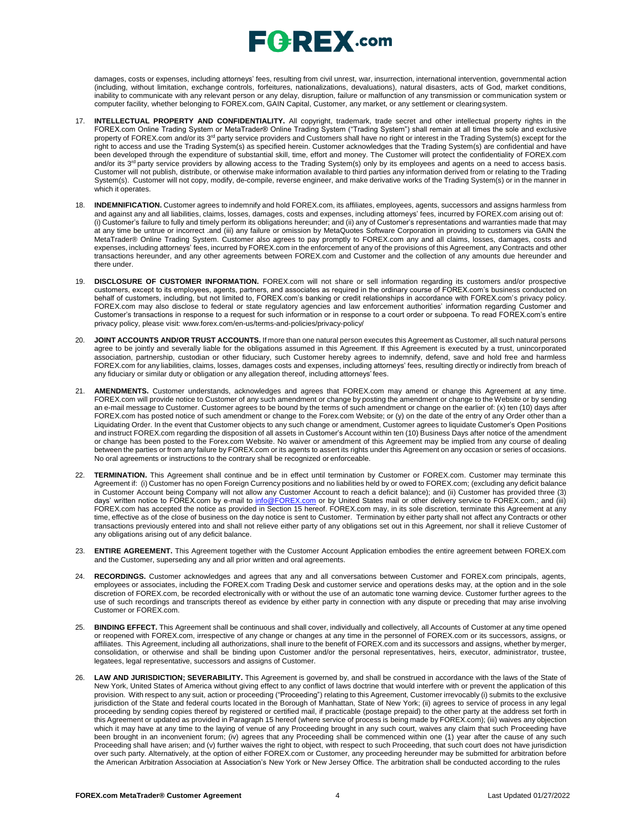# $E$ **G**  $R$ **EX** .com

damages, costs or expenses, including attorneys' fees, resulting from civil unrest, war, insurrection, international intervention, governmental action (including, without limitation, exchange controls, forfeitures, nationalizations, devaluations), natural disasters, acts of God, market conditions, inability to communicate with any relevant person or any delay, disruption, failure or malfunction of any transmission or communication system or computer facility, whether belonging to FOREX.com, GAIN Capital, Customer, any market, or any settlement or clearingsystem.

- 17. **INTELLECTUAL PROPERTY AND CONFIDENTIALITY.** All copyright, trademark, trade secret and other intellectual property rights in the FOREX.com Online Trading System or MetaTrader® Online Trading System ("Trading System") shall remain at all times the sole and exclusive property of FOREX.com and/or its 3<sup>rd</sup> party service providers and Customers shall have no right or interest in the Trading System(s) except for the right to access and use the Trading System(s) as specified herein. Customer acknowledges that the Trading System(s) are confidential and have been developed through the expenditure of substantial skill, time, effort and money. The Customer will protect the confidentiality of FOREX.com and/or its 3<sup>rd</sup> party service providers by allowing access to the Trading System(s) only by its employees and agents on a need to access basis. Customer will not publish, distribute, or otherwise make information available to third parties any information derived from or relating to the Trading System(s). Customer will not copy, modify, de-compile, reverse engineer, and make derivative works of the Trading System(s) or in the manner in which it operates.
- 18. **INDEMNIFICATION.** Customer agrees to indemnify and hold FOREX.com, its affiliates, employees, agents, successors and assigns harmless from and against any and all liabilities, claims, losses, damages, costs and expenses, including attorneys' fees, incurred by FOREX.com arising out of: (i) Customer's failure to fully and timely perform its obligations hereunder; and (ii) any of Customer's representations and warranties made that may at any time be untrue or incorrect .and (iii) any failure or omission by MetaQuotes Software Corporation in providing to customers via GAIN the MetaTrader® Online Trading System. Customer also agrees to pay promptly to FOREX.com any and all claims, losses, damages, costs and expenses, including attorneys' fees, incurred by FOREX.com in the enforcement of any of the provisions of this Agreement, any Contracts and other transactions hereunder, and any other agreements between FOREX.com and Customer and the collection of any amounts due hereunder and there under.
- 19. **DISCLOSURE OF CUSTOMER INFORMATION.** FOREX.com will not share or sell information regarding its customers and/or prospective customers, except to its employees, agents, partners, and associates as required in the ordinary course of FOREX.com's business conducted on behalf of customers, including, but not limited to, FOREX.com's banking or credit relationships in accordance with FOREX.com's privacy policy. FOREX.com may also disclose to federal or state regulatory agencies and law enforcement authorities' information regarding Customer and Customer's transactions in response to a request for such information or in response to a court order or subpoena. To read FOREX.com's entire privacy policy, please visit: [www.forex.com/en-us/terms-and-policies/privacy-policy/](http://www.forex.com/en-us/terms-and-policies/privacy-policy/)
- 20. **JOINT ACCOUNTS AND/OR TRUST ACCOUNTS.** If more than one natural person executes this Agreement as Customer, all such natural persons agree to be jointly and severally liable for the obligations assumed in this Agreement. If this Agreement is executed by a trust, unincorporated association, partnership, custodian or other fiduciary, such Customer hereby agrees to indemnify, defend, save and hold free and harmless FOREX.com for any liabilities, claims, losses, damages costs and expenses, including attorneys' fees, resulting directly or indirectly from breach of any fiduciary or similar duty or obligation or any allegation thereof, including attorneys' fees.
- 21. **AMENDMENTS.** Customer understands, acknowledges and agrees that FOREX.com may amend or change this Agreement at any time. FOREX.com will provide notice to Customer of any such amendment or change by posting the amendment or change to the Website or by sending an e-mail message to Customer. Customer agrees to be bound by the terms of such amendment or change on the earlier of: (x) ten (10) days after FOREX.com has posted notice of such amendment or change to the Forex.com Website; or (y) on the date of the entry of any Order other than a Liquidating Order. In the event that Customer objects to any such change or amendment, Customer agrees to liquidate Customer's Open Positions and instruct FOREX.com regarding the disposition of all assets in Customer's Account within ten (10) Business Days after notice of the amendment or change has been posted to the Forex.com Website. No waiver or amendment of this Agreement may be implied from any course of dealing between the parties or from any failure by FOREX.com or its agents to assert its rights under this Agreement on any occasion or series of occasions. No oral agreements or instructions to the contrary shall be recognized or enforceable.
- 22. **TERMINATION.** This Agreement shall continue and be in effect until termination by Customer or FOREX.com. Customer may terminate this Agreement if: (i) Customer has no open Foreign Currency positions and no liabilities held by or owed to FOREX.com; (excluding any deficit balance in Customer Account being Company will not allow any Customer Account to reach a deficit balance); and (ii) Customer has provided three (3) days' written notice to FOREX.com by e-mail to [info@FOREX.com](mailto:info@fxadvantage.com) or by United States mail or other delivery service to FOREX.com.; and (iii) FOREX.com has accepted the notice as provided in Section 15 hereof. FOREX.com may, in its sole discretion, terminate this Agreement at any time, effective as of the close of business on the day notice is sent to Customer. Termination by either party shall not affect any Contracts or other transactions previously entered into and shall not relieve either party of any obligations set out in this Agreement, nor shall it relieve Customer of any obligations arising out of any deficit balance.
- 23. **ENTIRE AGREEMENT.** This Agreement together with the Customer Account Application embodies the entire agreement between FOREX.com and the Customer, superseding any and all prior written and oral agreements.
- 24. **RECORDINGS.** Customer acknowledges and agrees that any and all conversations between Customer and FOREX.com principals, agents, employees or associates, including the FOREX.com Trading Desk and customer service and operations desks may, at the option and in the sole discretion of FOREX.com, be recorded electronically with or without the use of an automatic tone warning device. Customer further agrees to the use of such recordings and transcripts thereof as evidence by either party in connection with any dispute or preceding that may arise involving Customer or FOREX.com.
- 25. **BINDING EFFECT.** This Agreement shall be continuous and shall cover, individually and collectively, all Accounts of Customer at any time opened or reopened with FOREX.com, irrespective of any change or changes at any time in the personnel of FOREX.com or its successors, assigns, or affiliates. This Agreement, including all authorizations, shall inure to the benefit of FOREX.com and its successors and assigns, whether by merger, consolidation, or otherwise and shall be binding upon Customer and/or the personal representatives, heirs, executor, administrator, trustee, legatees, legal representative, successors and assigns of Customer.
- LAW AND JURISDICTION; SEVERABILITY. This Agreement is governed by, and shall be construed in accordance with the laws of the State of New York, United States of America without giving effect to any conflict of laws doctrine that would interfere with or prevent the application of this provision. With respect to any suit, action or proceeding ("Proceeding") relating to this Agreement, Customer irrevocably (i) submits to the exclusive jurisdiction of the State and federal courts located in the Borough of Manhattan, State of New York; (ii) agrees to service of process in any legal proceeding by sending copies thereof by registered or certified mail, if practicable (postage prepaid) to the other party at the address set forth in this Agreement or updated as provided in Paragraph 15 hereof (where service of process is being made by FOREX.com); (iii) waives any objection which it may have at any time to the laying of venue of any Proceeding brought in any such court, waives any claim that such Proceeding have been brought in an inconvenient forum; (iv) agrees that any Proceeding shall be commenced within one (1) year after the cause of any such Proceeding shall have arisen; and (v) further waives the right to object, with respect to such Proceeding, that such court does not have jurisdiction over such party. Alternatively, at the option of either FOREX.com or Customer, any proceeding hereunder may be submitted for arbitration before the American Arbitration Association at Association's New York or New Jersey Office. The arbitration shall be conducted according to the rules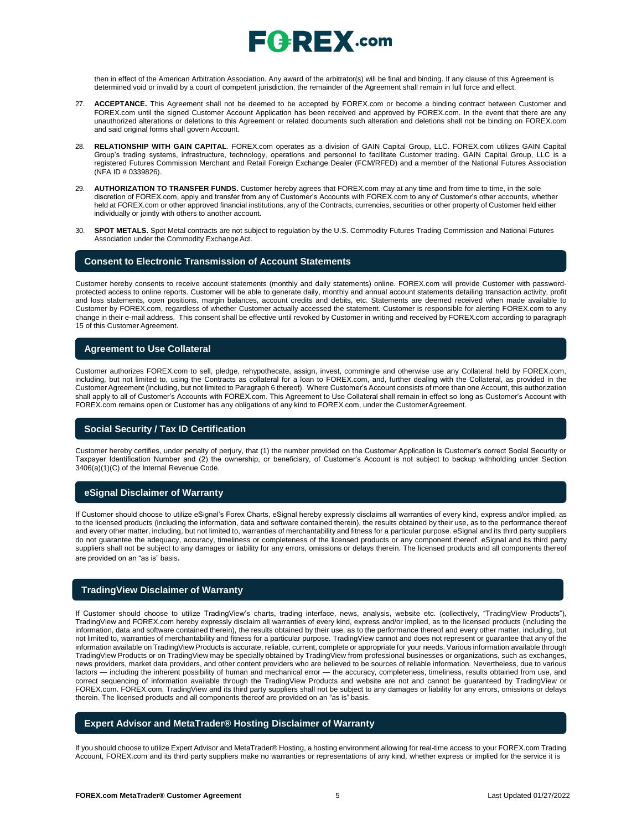

then in effect of the American Arbitration Association. Any award of the arbitrator(s) will be final and binding. If any clause of this Agreement is determined void or invalid by a court of competent jurisdiction, the remainder of the Agreement shall remain in full force and effect.

- 27. **ACCEPTANCE.** This Agreement shall not be deemed to be accepted by FOREX.com or become a binding contract between Customer and FOREX.com until the signed Customer Account Application has been received and approved by FOREX.com. In the event that there are any unauthorized alterations or deletions to this Agreement or related documents such alteration and deletions shall not be binding on FOREX.com and said original forms shall govern Account.
- 28. **RELATIONSHIP WITH GAIN CAPITAL**. FOREX.com operates as a division of GAIN Capital Group, LLC. FOREX.com utilizes GAIN Capital Group's trading systems, infrastructure, technology, operations and personnel to facilitate Customer trading. GAIN Capital Group, LLC is a registered Futures Commission Merchant and Retail Foreign Exchange Dealer (FCM/RFED) and a member of the National Futures Association (NFA ID # 0339826).
- 29. **AUTHORIZATION TO TRANSFER FUNDS.** Customer hereby agrees that FOREX.com may at any time and from time to time, in the sole discretion of FOREX.com, apply and transfer from any of Customer's Accounts with FOREX.com to any of Customer's other accounts, whether held at FOREX.com or other approved financial institutions, any of the Contracts, currencies, securities or other property of Customer held either individually or jointly with others to another account.
- 30. **SPOT METALS.** Spot Metal contracts are not subject to regulation by the U.S. Commodity Futures Trading Commission and National Futures Association under the Commodity Exchange Act.

### **Consent to Electronic Transmission of Account Statements**

Customer hereby consents to receive account statements (monthly and daily statements) online. FOREX.com will provide Customer with passwordprotected access to online reports. Customer will be able to generate daily, monthly and annual account statements detailing transaction activity, profit and loss statements, open positions, margin balances, account credits and debits, etc. Statements are deemed received when made available to Customer by FOREX.com, regardless of whether Customer actually accessed the statement. Customer is responsible for alerting FOREX.com to any change in their e-mail address. This consent shall be effective until revoked by Customer in writing and received by FOREX.com according to paragraph 15 of this Customer Agreement.

### **Agreement to Use Collateral**

Customer authorizes FOREX.com to sell, pledge, rehypothecate, assign, invest, commingle and otherwise use any Collateral held by FOREX.com, including, but not limited to, using the Contracts as collateral for a loan to FOREX.com, and, further dealing with the Collateral, as provided in the Customer Agreement (including, but not limited to Paragraph 6 thereof). Where Customer's Account consists of more than one Account, this authorization shall apply to all of Customer's Accounts with FOREX.com. This Agreement to Use Collateral shall remain in effect so long as Customer's Account with FOREX.com remains open or Customer has any obligations of any kind to FOREX.com, under the CustomerAgreement.

## **Social Security / Tax ID Certification**

Customer hereby certifies, under penalty of perjury, that (1) the number provided on the Customer Application is Customer's correct Social Security or Taxpayer Identification Number and (2) the ownership, or beneficiary, of Customer's Account is not subject to backup withholding under Section 3406(a)(1)(C) of the Internal Revenue Code.

### **eSignal Disclaimer of Warranty**

If Customer should choose to utilize eSignal's Forex Charts, eSignal hereby expressly disclaims all warranties of every kind, express and/or implied, as to the licensed products (including the information, data and software contained therein), the results obtained by their use, as to the performance thereof and every other matter, including, but not limited to, warranties of merchantability and fitness for a particular purpose. eSignal and its third party suppliers do not guarantee the adequacy, accuracy, timeliness or completeness of the licensed products or any component thereof. eSignal and its third party suppliers shall not be subject to any damages or liability for any errors, omissions or delays therein. The licensed products and all components thereof are provided on an "as is" basis.

### **TradingView Disclaimer of Warranty**

If Customer should choose to utilize TradingView's charts, trading interface, news, analysis, website etc. (collectively, "TradingView Products"), TradingView and FOREX.com hereby expressly disclaim all warranties of every kind, express and/or implied, as to the licensed products (including the information, data and software contained therein), the results obtained by their use, as to the performance thereof and every other matter, including, but not limited to, warranties of merchantability and fitness for a particular purpose. TradingView cannot and does not represent or guarantee that any of the information available on TradingView Products is accurate, reliable, current, complete or appropriate for your needs. Various information available through TradingView Products or on TradingView may be specially obtained by TradingView from professional businesses or organizations, such as exchanges, news providers, market data providers, and other content providers who are believed to be sources of reliable information. Nevertheless, due to various factors — including the inherent possibility of human and mechanical error — the accuracy, completeness, timeliness, results obtained from use, and correct sequencing of information available through the TradingView Products and website are not and cannot be guaranteed by TradingView or FOREX.com. FOREX.com, TradingView and its third party suppliers shall not be subject to any damages or liability for any errors, omissions or delays therein. The licensed products and all components thereof are provided on an "as is" basis.

## **Expert Advisor and MetaTrader® Hosting Disclaimer of Warranty**

If you should choose to utilize Expert Advisor and MetaTrader® Hosting, a hosting environment allowing for real-time access to your FOREX.com Trading Account, FOREX.com and its third party suppliers make no warranties or representations of any kind, whether express or implied for the service it is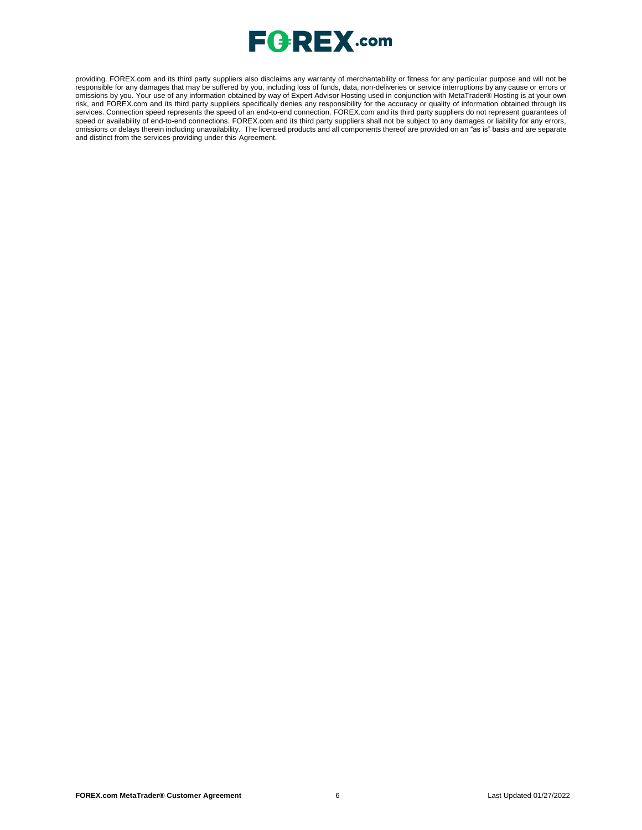

providing. FOREX.com and its third party suppliers also disclaims any warranty of merchantability or fitness for any particular purpose and will not be responsible for any damages that may be suffered by you, including loss of funds, data, non-deliveries or service interruptions by any cause or errors or omissions by you. Your use of any information obtained by way of Expert Advisor Hosting used in conjunction with MetaTrader® Hosting is at your own risk, and FOREX.com and its third party suppliers specifically denies any responsibility for the accuracy or quality of information obtained through its services. Connection speed represents the speed of an end-to-end connection. FOREX.com and its third party suppliers do not represent guarantees of speed or availability of end-to-end connections. FOREX.com and its third party suppliers shall not be subject to any damages or liability for any errors, omissions or delays therein including unavailability. The licensed products and all components thereof are provided on an "as is" basis and are separate and distinct from the services providing under this Agreement.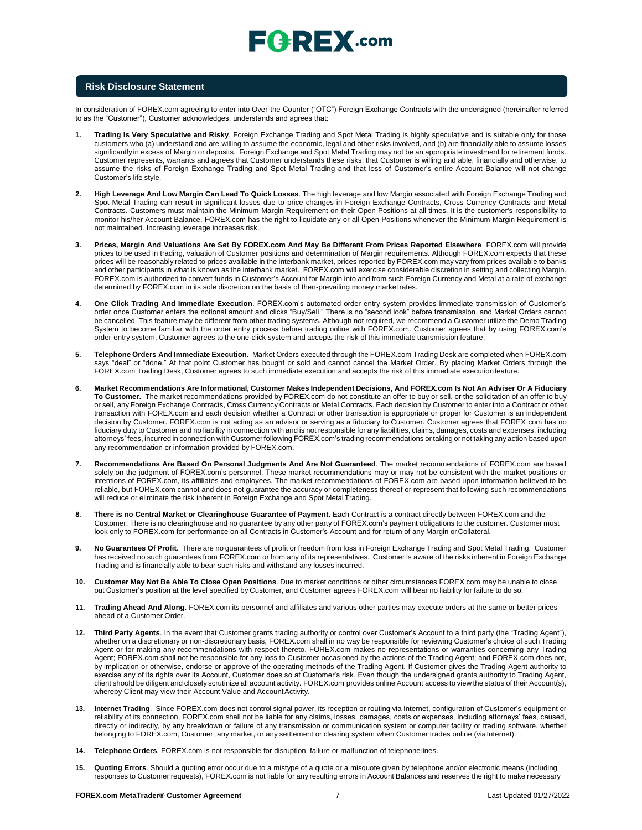

## **Risk Disclosure Statement**

In consideration of FOREX.com agreeing to enter into Over-the-Counter ("OTC") Foreign Exchange Contracts with the undersigned (hereinafter referred to as the "Customer"), Customer acknowledges, understands and agrees that:

- **1. Trading Is Very Speculative and Risky**. Foreign Exchange Trading and Spot Metal Trading is highly speculative and is suitable only for those customers who (a) understand and are willing to assume the economic, legal and other risks involved, and (b) are financially able to assume losses significantly in excess of Margin or deposits. Foreign Exchange and Spot Metal Trading may not be an appropriate investment for retirement funds. Customer represents, warrants and agrees that Customer understands these risks; that Customer is willing and able, financially and otherwise, to assume the risks of Foreign Exchange Trading and Spot Metal Trading and that loss of Customer's entire Account Balance will not change Customer's life style.
- **2. High Leverage And Low Margin Can Lead To Quick Losses**. The high leverage and low Margin associated with Foreign Exchange Trading and Spot Metal Trading can result in significant losses due to price changes in Foreign Exchange Contracts, Cross Currency Contracts and Metal Contracts. Customers must maintain the Minimum Margin Requirement on their Open Positions at all times. It is the customer's responsibility to monitor his/her Account Balance. FOREX.com has the right to liquidate any or all Open Positions whenever the Minimum Margin Requirement is not maintained. Increasing leverage increases risk.
- **3. Prices, Margin And Valuations Are Set By FOREX.com And May Be Different From Prices Reported Elsewhere**. FOREX.com will provide prices to be used in trading, valuation of Customer positions and determination of Margin requirements. Although FOREX.com expects that these prices will be reasonably related to prices available in the interbank market, prices reported by FOREX.com may vary from prices available to banks and other participants in what is known as the interbank market. FOREX.com will exercise considerable discretion in setting and collecting Margin. FOREX.com is authorized to convert funds in Customer's Account for Margin into and from such Foreign Currency and Metal at a rate of exchange determined by FOREX.com in its sole discretion on the basis of then-prevailing money marketrates.
- **4. One Click Trading And Immediate Execution**. FOREX.com's automated order entry system provides immediate transmission of Customer's order once Customer enters the notional amount and clicks "Buy/Sell." There is no "second look" before transmission, and Market Orders cannot be cancelled. This feature may be different from other trading systems. Although not required, we recommend a Customer utilize the Demo Trading System to become familiar with the order entry process before trading online with FOREX.com. Customer agrees that by using FOREX.com's order-entry system, Customer agrees to the one-click system and accepts the risk of this immediate transmission feature.
- **5. Telephone Orders And Immediate Execution.** Market Orders executed through the FOREX.com Trading Desk are completed when FOREX.com says "deal" or "done." At that point Customer has bought or sold and cannot cancel the Market Order. By placing Market Orders through the FOREX.com Trading Desk, Customer agrees to such immediate execution and accepts the risk of this immediate executionfeature.
- 6. Market Recommendations Are Informational, Customer Makes Independent Decisions, And FOREX.com Is Not An Adviser Or A Fiduciary **To Customer.** The market recommendations provided by FOREX.com do not constitute an offer to buy or sell, or the solicitation of an offer to buy or sell, any Foreign Exchange Contracts, Cross Currency Contracts or Metal Contracts. Each decision by Customer to enter into a Contract or other transaction with FOREX.com and each decision whether a Contract or other transaction is appropriate or proper for Customer is an independent decision by Customer. FOREX.com is not acting as an advisor or serving as a fiduciary to Customer. Customer agrees that FOREX.com has no fiduciary duty to Customer and no liability in connection with and is not responsible for any liabilities, claims, damages, costs and expenses, including attorneys' fees, incurred in connection with Customer following FOREX.com's trading recommendations or taking or not taking any action based upon any recommendation or information provided by FOREX.com.
- **7. Recommendations Are Based On Personal Judgments And Are Not Guaranteed**. The market recommendations of FOREX.com are based solely on the judgment of FOREX.com's personnel. These market recommendations may or may not be consistent with the market positions or intentions of FOREX.com, its affiliates and employees. The market recommendations of FOREX.com are based upon information believed to be reliable, but FOREX.com cannot and does not guarantee the accuracy or completeness thereof or represent that following such recommendations will reduce or eliminate the risk inherent in Foreign Exchange and Spot MetalTrading.
- **8. There is no Central Market or Clearinghouse Guarantee of Payment.** Each Contract is a contract directly between FOREX.com and the Customer. There is no clearinghouse and no guarantee by any other party of FOREX.com's payment obligations to the customer. Customer must look only to FOREX.com for performance on all Contracts in Customer's Account and for return of any Margin orCollateral.
- **9. No Guarantees Of Profit**. There are no guarantees of profit or freedom from loss in Foreign Exchange Trading and Spot Metal Trading. Customer has received no such guarantees from FOREX.com or from any of its representatives. Customer is aware of the risks inherent in Foreign Exchange Trading and is financially able to bear such risks and withstand any losses incurred.
- **10. Customer May Not Be Able To Close Open Positions**. Due to market conditions or other circumstances FOREX.com may be unable to close out Customer's position at the level specified by Customer, and Customer agrees FOREX.com will bear no liability for failure to do so.
- **11. Trading Ahead And Along**. FOREX.com its personnel and affiliates and various other parties may execute orders at the same or better prices ahead of a Customer Order.
- **12. Third Party Agents**. In the event that Customer grants trading authority or control over Customer's Account to a third party (the "Trading Agent"), whether on a discretionary or non-discretionary basis, FOREX.com shall in no way be responsible for reviewing Customer's choice of such Trading Agent or for making any recommendations with respect thereto. FOREX.com makes no representations or warranties concerning any Trading Agent; FOREX.com shall not be responsible for any loss to Customer occasioned by the actions of the Trading Agent; and FOREX.com does not, by implication or otherwise, endorse or approve of the operating methods of the Trading Agent. If Customer gives the Trading Agent authority to exercise any of its rights over its Account, Customer does so at Customer's risk. Even though the undersigned grants authority to Trading Agent, client should be diligent and closely scrutinize all account activity. FOREX.com provides online Account access to view the status of their Account(s), whereby Client may view their Account Value and Account Activity.
- **13. Internet Trading**. Since FOREX.com does not control signal power, its reception or routing via Internet, configuration of Customer's equipment or reliability of its connection, FOREX.com shall not be liable for any claims, losses, damages, costs or expenses, including attorneys' fees, caused, directly or indirectly, by any breakdown or failure of any transmission or communication system or computer facility or trading software, whether belonging to FOREX.com, Customer, any market, or any settlement or clearing system when Customer trades online (viaInternet).
- **14. Telephone Orders**. FOREX.com is not responsible for disruption, failure or malfunction of telephonelines.
- **15. Quoting Errors**. Should a quoting error occur due to a mistype of a quote or a misquote given by telephone and/or electronic means (including responses to Customer requests), FOREX.com is not liable for any resulting errors in Account Balances and reserves the right to make necessary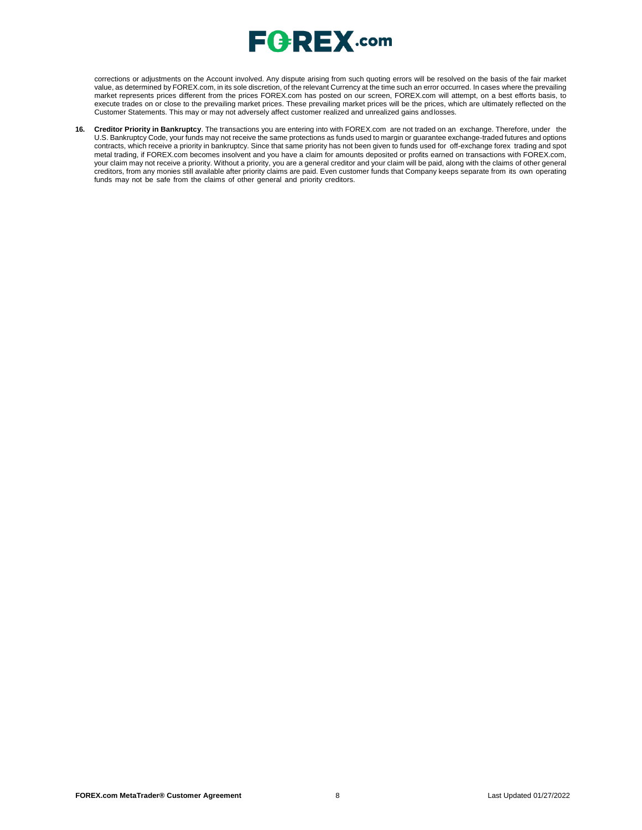

corrections or adjustments on the Account involved. Any dispute arising from such quoting errors will be resolved on the basis of the fair market value, as determined by FOREX.com, in its sole discretion, of the relevant Currency at the time such an error occurred. In cases where the prevailing market represents prices different from the prices FOREX.com has posted on our screen, FOREX.com will attempt, on a best efforts basis, to execute trades on or close to the prevailing market prices. These prevailing market prices will be the prices, which are ultimately reflected on the Customer Statements. This may or may not adversely affect customer realized and unrealized gains andlosses.

**16. Creditor Priority in Bankruptcy**. The transactions you are entering into with FOREX.com are not traded on an exchange. Therefore, under the U.S. Bankruptcy Code, your funds may not receive the same protections as funds used to margin or guarantee exchange-traded futures and options contracts, which receive a priority in bankruptcy. Since that same priority has not been given to funds used for off-exchange forex trading and spot metal trading, if FOREX.com becomes insolvent and you have a claim for amounts deposited or profits earned on transactions with FOREX.com, your claim may not receive a priority. Without a priority, you are a general creditor and your claim will be paid, along with the claims of other general creditors, from any monies still available after priority claims are paid. Even customer funds that Company keeps separate from its own operating funds may not be safe from the claims of other general and priority creditors.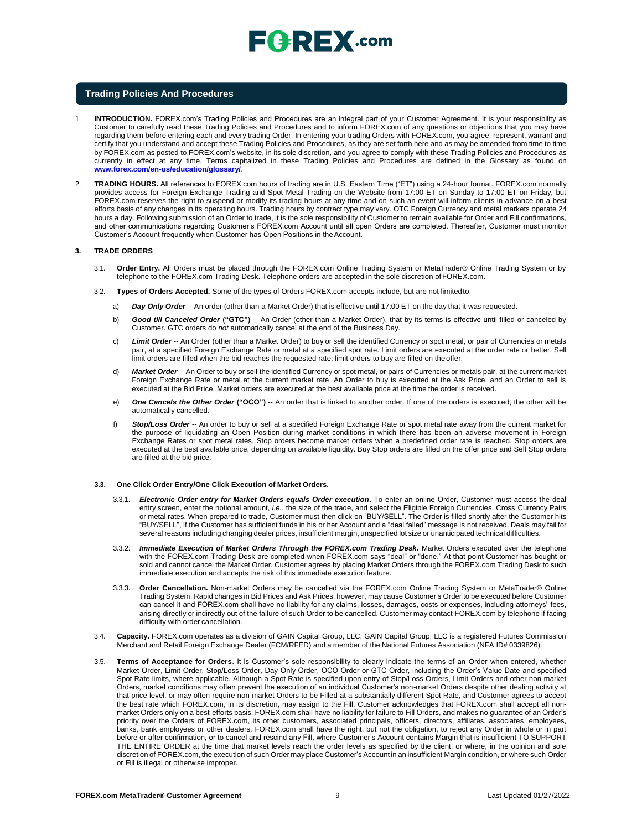# **FGREX.com**

### **Trading Policies And Procedures**

- 1. **INTRODUCTION.** FOREX.com's Trading Policies and Procedures are an integral part of your Customer Agreement. It is your responsibility as Customer to carefully read these Trading Policies and Procedures and to inform FOREX.com of any questions or objections that you may have regarding them before entering each and every trading Order. In entering your trading Orders with FOREX.com, you agree, represent, warrant and certify that you understand and accept these Trading Policies and Procedures, as they are set forth here and as may be amended from time to time by FOREX.com as posted to FOREX.com's website, in its sole discretion, and you agree to comply with these Trading Policies and Procedures as currently in effect at any time. Terms capitalized in these Trading Policies and Procedures are defined in the Glossary as found o[n](http://www.forex.com/en-us/education/glossary/) **[www.forex.com/en-us/education/glossary/](http://www.forex.com/en-us/education/glossary/)**.
- 2. **TRADING HOURS.** All references to FOREX.com hours of trading are in U.S. Eastern Time ("ET") using a 24-hour format. FOREX.com normally provides access for Foreign Exchange Trading and Spot Metal Trading on the Website from 17:00 ET on Sunday to 17:00 ET on Friday, but FOREX.com reserves the right to suspend or modify its trading hours at any time and on such an event will inform clients in advance on a best efforts basis of any changes in its operating hours. Trading hours by contract type may vary. OTC Foreign Currency and metal markets operate 24 hours a day. Following submission of an Order to trade, it is the sole responsibility of Customer to remain available for Order and Fill confirmations, and other communications regarding Customer's FOREX.com Account until all open Orders are completed. Thereafter, Customer must monitor Customer's Account frequently when Customer has Open Positions in theAccount.

#### **3. TRADE ORDERS**

- 3.1. **Order Entry.** All Orders must be placed through the FOREX.com Online Trading System or MetaTrader® Online Trading System or by telephone to the FOREX.com Trading Desk. Telephone orders are accepted in the sole discretion ofFOREX.com.
- 3.2. **Types of Orders Accepted.** Some of the types of Orders FOREX.com accepts include, but are not limitedto:
	- a) *Day Only Order --* An order (other than a Market Order) that is effective until 17:00 ET on the day that it was requested.
	- b) *Good till Canceled Order* **("GTC")** -- An Order (other than a Market Order), that by its terms is effective until filled or canceled by Customer. GTC orders do *not* automatically cancel at the end of the Business Day.
	- c) *Limit Order --* An Order (other than a Market Order) to buy or sell the identified Currency or spot metal, or pair of Currencies or metals pair, at a specified Foreign Exchange Rate or metal at a specified spot rate. Limit orders are executed at the order rate or better. Sell limit orders are filled when the bid reaches the requested rate; limit orders to buy are filled on theoffer.
	- d) *Market Order --* An Order to buy or sell the identified Currency or spot metal, or pairs of Currencies or metals pair, at the current market Foreign Exchange Rate or metal at the current market rate. An Order to buy is executed at the Ask Price, and an Order to sell is executed at the Bid Price. Market orders are executed at the best available price at the time the order is received.
	- e) *One Cancels the Other Order* **("OCO")** -- An order that is linked to another order. If one of the orders is executed, the other will be automatically cancelled.
	- f) *Stop/Loss Order --* An order to buy or sell at a specified Foreign Exchange Rate or spot metal rate away from the current market for the purpose of liquidating an Open Position during market conditions in which there has been an adverse movement in Foreign Exchange Rates or spot metal rates. Stop orders become market orders when a predefined order rate is reached. Stop orders are executed at the best available price, depending on available liquidity. Buy Stop orders are filled on the offer price and Sell Stop orders are filled at the bid price.

#### **3.3. One Click Order Entry/One Click Execution of Market Orders.**

- 3.3.1. *Electronic Order entry for Market Orders equals Order execution***.** To enter an online Order, Customer must access the deal entry screen, enter the notional amount, *i.e.*, the size of the trade, and select the Eligible Foreign Currencies, Cross Currency Pairs or metal rates. When prepared to trade, Customer must then click on "BUY/SELL". The Order is filled shortly after the Customer hits "BUY/SELL", if the Customer has sufficient funds in his or her Account and a "deal failed" message is not received. Deals may fail for several reasons including changing dealer prices, insufficient margin, unspecified lot size or unanticipated technical difficulties.
- 3.3.2. *Immediate Execution of Market Orders Through the FOREX.com Trading Desk.* Market Orders executed over the telephone with the FOREX.com Trading Desk are completed when FOREX.com says "deal" or "done." At that point Customer has bought or sold and cannot cancel the Market Order. Customer agrees by placing Market Orders through the FOREX.com Trading Desk to such immediate execution and accepts the risk of this immediate execution feature.
- 3.3.3. **Order Cancellation.** Non-market Orders may be cancelled via the FOREX.com Online Trading System or MetaTrader® Online Trading System. Rapid changes in Bid Prices and Ask Prices, however, may cause Customer's Order to be executed before Customer can cancel it and FOREX.com shall have no liability for any claims, losses, damages, costs or expenses, including attorneys' fees, arising directly or indirectly out of the failure of such Order to be cancelled. Customer may contact FOREX.com by telephone if facing difficulty with order cancellation.
- 3.4. **Capacity.** FOREX.com operates as a division of GAIN Capital Group, LLC. GAIN Capital Group, LLC is a registered Futures Commission Merchant and Retail Foreign Exchange Dealer (FCM/RFED) and a member of the National Futures Association (NFA ID# 0339826).
- 3.5. **Terms of Acceptance for Orders**. It is Customer's sole responsibility to clearly indicate the terms of an Order when entered, whether Market Order, Limit Order, Stop/Loss Order, Day-Only Order, OCO Order or GTC Order, including the Order's Value Date and specified Spot Rate limits, where applicable. Although a Spot Rate is specified upon entry of Stop/Loss Orders, Limit Orders and other non-market Orders, market conditions may often prevent the execution of an individual Customer's non-market Orders despite other dealing activity at that price level, or may often require non-market Orders to be Filled at a substantially different Spot Rate, and Customer agrees to accept the best rate which FOREX.com, in its discretion, may assign to the Fill. Customer acknowledges that FOREX.com shall accept all nonmarket Orders only on a best-efforts basis. FOREX.com shall have no liability for failure to Fill Orders, and makes no guarantee of an Order's priority over the Orders of FOREX.com, its other customers, associated principals, officers, directors, affiliates, associates, employees, banks, bank employees or other dealers. FOREX.com shall have the right, but not the obligation, to reject any Order in whole or in part before or after confirmation, or to cancel and rescind any Fill, where Customer's Account contains Margin that is insufficient TO SUPPORT THE ENTIRE ORDER at the time that market levels reach the order levels as specified by the client, or where, in the opinion and sole discretion of FOREX.com, the execution of such Order may place Customer's Account in an insufficient Margin condition, or where such Order or Fill is illegal or otherwise improper.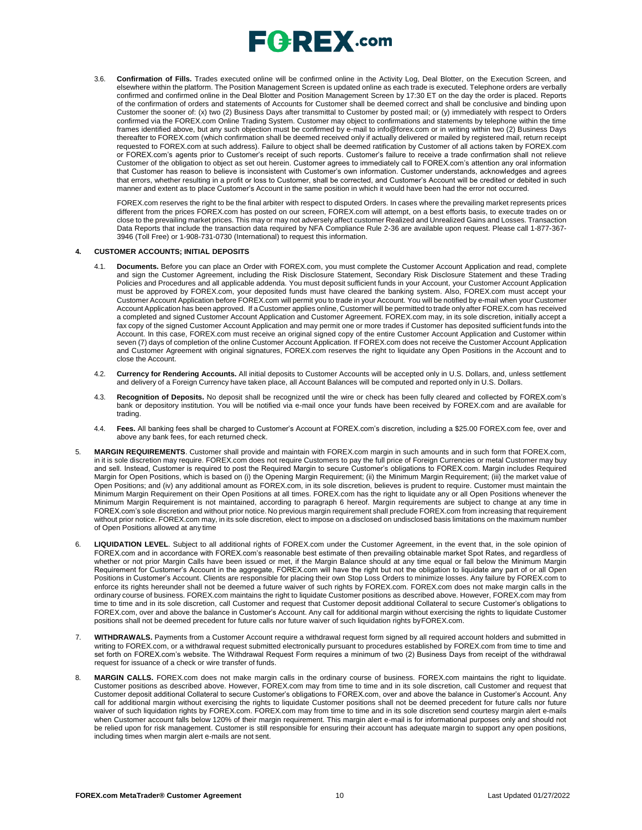

3.6. **Confirmation of Fills.** Trades executed online will be confirmed online in the Activity Log, Deal Blotter, on the Execution Screen, and elsewhere within the platform. The Position Management Screen is updated online as each trade is executed. Telephone orders are verbally confirmed and confirmed online in the Deal Blotter and Position Management Screen by 17:30 ET on the day the order is placed. Reports of the confirmation of orders and statements of Accounts for Customer shall be deemed correct and shall be conclusive and binding upon Customer the sooner of: (x) two (2) Business Days after transmittal to Customer by posted mail; or (y) immediately with respect to Orders confirmed via the FOREX.com Online Trading System. Customer may object to confirmations and statements by telephone within the time frames identified above, but any such objection must be confirmed by e-mail t[o info@forex.com o](mailto:info@forex.com)r in writing within two (2) Business Days thereafter to FOREX.com (which confirmation shall be deemed received only if actually delivered or mailed by registered mail, return receipt requested to FOREX.com at such address). Failure to object shall be deemed ratification by Customer of all actions taken by FOREX.com or FOREX.com's agents prior to Customer's receipt of such reports. Customer's failure to receive a trade confirmation shall not relieve Customer of the obligation to object as set out herein. Customer agrees to immediately call to FOREX.com's attention any oral information that Customer has reason to believe is inconsistent with Customer's own information. Customer understands, acknowledges and agrees that errors, whether resulting in a profit or loss to Customer, shall be corrected, and Customer's Account will be credited or debited in such manner and extent as to place Customer's Account in the same position in which it would have been had the error not occurred.

FOREX.com reserves the right to be the final arbiter with respect to disputed Orders. In cases where the prevailing market represents prices different from the prices FOREX.com has posted on our screen, FOREX.com will attempt, on a best efforts basis, to execute trades on or close to the prevailing market prices. This may or may not adversely affect customer Realized and Unrealized Gains and Losses. Transaction Data Reports that include the transaction data required by NFA Compliance Rule 2-36 are available upon request. Please call 1-877-367- 3946 (Toll Free) or 1-908-731-0730 (International) to request this information.

#### **4. CUSTOMER ACCOUNTS; INITIAL DEPOSITS**

- 4.1. **Documents.** Before you can place an Order with FOREX.com, you must complete the Customer Account Application and read, complete and sign the Customer Agreement, including the Risk Disclosure Statement, Secondary Risk Disclosure Statement and these Trading Policies and Procedures and all applicable addenda. You must deposit sufficient funds in your Account, your Customer Account Application must be approved by FOREX.com, your deposited funds must have cleared the banking system. Also, FOREX.com must accept your Customer Account Application before FOREX.com will permit you to trade in your Account. You will be notified by e-mail when your Customer Account Application has been approved. If a Customer applies online, Customer will be permitted to trade only after FOREX.com has received a completed and signed Customer Account Application and Customer Agreement. FOREX.com may, in its sole discretion, initially accept a fax copy of the signed Customer Account Application and may permit one or more trades if Customer has deposited sufficient funds into the Account. In this case, FOREX.com must receive an original signed copy of the entire Customer Account Application and Customer within seven (7) days of completion of the online Customer Account Application. If FOREX.com does not receive the Customer Account Application and Customer Agreement with original signatures, FOREX.com reserves the right to liquidate any Open Positions in the Account and to close the Account.
- 4.2. **Currency for Rendering Accounts.** All initial deposits to Customer Accounts will be accepted only in U.S. Dollars, and, unless settlement and delivery of a Foreign Currency have taken place, all Account Balances will be computed and reported only in U.S. Dollars.
- 4.3. **Recognition of Deposits.** No deposit shall be recognized until the wire or check has been fully cleared and collected by FOREX.com's bank or depository institution. You will be notified via e-mail once your funds have been received by FOREX.com and are available for trading.
- 4.4. **Fees.** All banking fees shall be charged to Customer's Account at FOREX.com's discretion, including a \$25.00 FOREX.com fee, over and above any bank fees, for each returned check.
- 5. **MARGIN REQUIREMENTS**. Customer shall provide and maintain with FOREX.com margin in such amounts and in such form that FOREX.com, In it is sole discretion may require. FOREX com does not require Customers to pay the full price of Foreign Currencies or metal Customer may buy and sell. Instead, Customer is required to post the Required Margin to secure Customer's obligations to FOREX.com. Margin includes Required Margin for Open Positions, which is based on (i) the Opening Margin Requirement; (ii) the Minimum Margin Requirement; (iii) the market value of Open Positions; and (iv) any additional amount as FOREX.com, in its sole discretion, believes is prudent to require. Customer must maintain the Minimum Margin Requirement on their Open Positions at all times. FOREX.com has the right to liquidate any or all Open Positions whenever the Minimum Margin Requirement is not maintained, according to paragraph 6 hereof. Margin requirements are subject to change at any time in FOREX.com's sole discretion and without prior notice. No previous margin requirement shall preclude FOREX.com from increasing that requirement without prior notice. FOREX.com may, in its sole discretion, elect to impose on a disclosed on undisclosed basis limitations on the maximum number of Open Positions allowed at any time
- 6. **LIQUIDATION LEVEL**. Subject to all additional rights of FOREX.com under the Customer Agreement, in the event that, in the sole opinion of FOREX.com and in accordance with FOREX.com's reasonable best estimate of then prevailing obtainable market Spot Rates, and regardless of whether or not prior Margin Calls have been issued or met, if the Margin Balance should at any time equal or fall below the Minimum Margin Requirement for Customer's Account in the aggregate, FOREX.com will have the right but not the obligation to liquidate any part of or all Open Positions in Customer's Account. Clients are responsible for placing their own Stop Loss Orders to minimize losses. Any failure by FOREX.com to enforce its rights hereunder shall not be deemed a future waiver of such rights by FOREX.com. FOREX.com does not make margin calls in the ordinary course of business. FOREX.com maintains the right to liquidate Customer positions as described above. However, FOREX.com may from time to time and in its sole discretion, call Customer and request that Customer deposit additional Collateral to secure Customer's obligations to FOREX.com, over and above the balance in Customer's Account. Any call for additional margin without exercising the rights to liquidate Customer positions shall not be deemed precedent for future calls nor future waiver of such liquidation rights byFOREX.com.
- 7. **WITHDRAWALS.** Payments from a Customer Account require a withdrawal request form signed by all required account holders and submitted in writing to FOREX.com, or a withdrawal request submitted electronically pursuant to procedures established by FOREX.com from time to time and set forth on FOREX.com's website. The Withdrawal Request Form requires a minimum of two (2) Business Days from receipt of the withdrawal request for issuance of a check or wire transfer of funds.
- 8. **MARGIN CALLS.** FOREX.com does not make margin calls in the ordinary course of business. FOREX.com maintains the right to liquidate. Customer positions as described above. However, FOREX.com may from time to time and in its sole discretion, call Customer and request that Customer deposit additional Collateral to secure Customer's obligations to FOREX.com, over and above the balance in Customer's Account. Any call for additional margin without exercising the rights to liquidate Customer positions shall not be deemed precedent for future calls nor future waiver of such liquidation rights by FOREX.com. FOREX.com may from time to time and in its sole discretion send courtesy margin alert e-mails when Customer account falls below 120% of their margin requirement. This margin alert e-mail is for informational purposes only and should not be relied upon for risk management. Customer is still responsible for ensuring their account has adequate margin to support any open positions, including times when margin alert e-mails are not sent.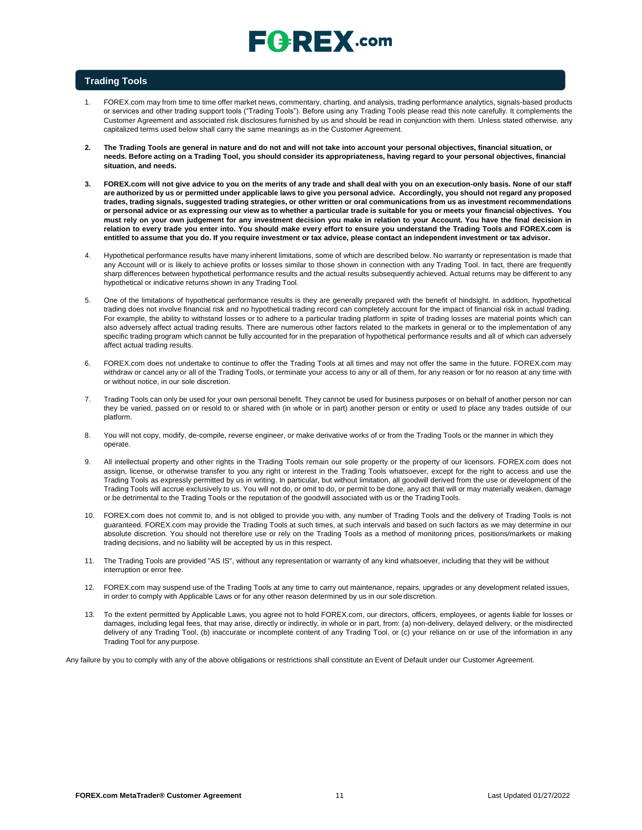# $E$ **Q**  $R$ **E** $X$ .com

## **Trading Tools**

- 1. FOREX.com may from time to time offer market news, commentary, charting, and analysis, trading performance analytics, signals-based products or services and other trading support tools ("Trading Tools"). Before using any Trading Tools please read this note carefully. It complements the Customer Agreement and associated risk disclosures furnished by us and should be read in conjunction with them. Unless stated otherwise, any capitalized terms used below shall carry the same meanings as in the Customer Agreement.
- **2. The Trading Tools are general in nature and do not and will not take into account your personal objectives, financial situation, or**  needs. Before acting on a Trading Tool, you should consider its appropriateness, having regard to your personal objectives, financial **situation, and needs.**
- 3. FOREX.com will not give advice to you on the merits of any trade and shall deal with you on an execution-only basis. None of our staff are authorized by us or permitted under applicable laws to give you personal advice. Accordingly, you should not regard any proposed trades, trading signals, suggested trading strategies, or other written or oral communications from us as investment recommendations or personal advice or as expressing our view as to whether a particular trade is suitable for you or meets your financial objectives. You **must rely on your own judgement for any investment decision you make in relation to your Account. You have the final decision in relation to every trade you enter into. You should make every effort to ensure you understand the Trading Tools and FOREX.com is**  entitled to assume that you do. If you require investment or tax advice, please contact an independent investment or tax advisor.
- 4. Hypothetical performance results have many inherent limitations, some of which are described below. No warranty or representation is made that any Account will or is likely to achieve profits or losses similar to those shown in connection with any Trading Tool. In fact, there are frequently sharp differences between hypothetical performance results and the actual results subsequently achieved. Actual returns may be different to any hypothetical or indicative returns shown in any Trading Tool.
- 5. One of the limitations of hypothetical performance results is they are generally prepared with the benefit of hindsight. In addition, hypothetical trading does not involve financial risk and no hypothetical trading record can completely account for the impact of financial risk in actual trading. For example, the ability to withstand losses or to adhere to a particular trading platform in spite of trading losses are material points which can also adversely affect actual trading results. There are numerous other factors related to the markets in general or to the implementation of any specific trading program which cannot be fully accounted for in the preparation of hypothetical performance results and all of which can adversely affect actual trading results.
- 6. FOREX.com does not undertake to continue to offer the Trading Tools at all times and may not offer the same in the future. FOREX.com may withdraw or cancel any or all of the Trading Tools, or terminate your access to any or all of them, for any reason or for no reason at any time with or without notice, in our sole discretion.
- 7. Trading Tools can only be used for your own personal benefit. They cannot be used for business purposes or on behalf of another person nor can they be varied, passed on or resold to or shared with (in whole or in part) another person or entity or used to place any trades outside of our platform.
- 8. You will not copy, modify, de-compile, reverse engineer, or make derivative works of or from the Trading Tools or the manner in which they operate.
- All intellectual property and other rights in the Trading Tools remain our sole property or the property of our licensors. FOREX.com does not assign, license, or otherwise transfer to you any right or interest in the Trading Tools whatsoever, except for the right to access and use the Trading Tools as expressly permitted by us in writing. In particular, but without limitation, all goodwill derived from the use or development of the Trading Tools will accrue exclusively to us. You will not do, or omit to do, or permit to be done, any act that will or may materially weaken, damage or be detrimental to the Trading Tools or the reputation of the goodwill associated with us or the TradingTools.
- 10. FOREX.com does not commit to, and is not obliged to provide you with, any number of Trading Tools and the delivery of Trading Tools is not guaranteed. FOREX.com may provide the Trading Tools at such times, at such intervals and based on such factors as we may determine in our absolute discretion. You should not therefore use or rely on the Trading Tools as a method of monitoring prices, positions/markets or making trading decisions, and no liability will be accepted by us in this respect.
- 11. The Trading Tools are provided "AS IS", without any representation or warranty of any kind whatsoever, including that they will be without interruption or error free.
- 12. FOREX.com may suspend use of the Trading Tools at any time to carry out maintenance, repairs, upgrades or any development related issues, in order to comply with Applicable Laws or for any other reason determined by us in our sole discretion.
- 13. To the extent permitted by Applicable Laws, you agree not to hold FOREX.com, our directors, officers, employees, or agents liable for losses or damages, including legal fees, that may arise, directly or indirectly, in whole or in part, from: (a) non-delivery, delayed delivery, or the misdirected delivery of any Trading Tool, (b) inaccurate or incomplete content of any Trading Tool, or (c) your reliance on or use of the information in any Trading Tool for any purpose.

Any failure by you to comply with any of the above obligations or restrictions shall constitute an Event of Default under our Customer Agreement.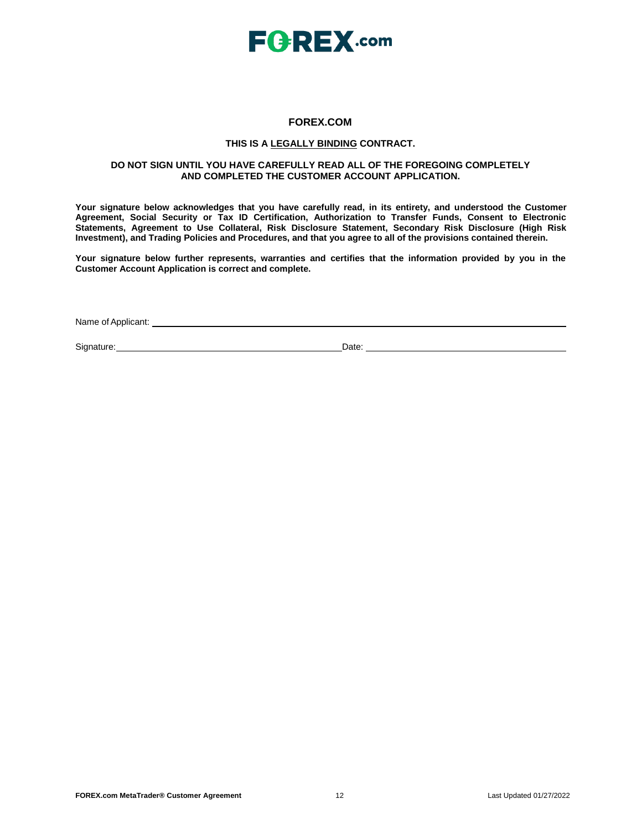

## **FOREX.COM**

## **THIS IS A LEGALLY BINDING CONTRACT.**

## **DO NOT SIGN UNTIL YOU HAVE CAREFULLY READ ALL OF THE FOREGOING COMPLETELY AND COMPLETED THE CUSTOMER ACCOUNT APPLICATION.**

**Your signature below acknowledges that you have carefully read, in its entirety, and understood the Customer Agreement, Social Security or Tax ID Certification, Authorization to Transfer Funds, Consent to Electronic Statements, Agreement to Use Collateral, Risk Disclosure Statement, Secondary Risk Disclosure (High Risk Investment), and Trading Policies and Procedures, and that you agree to all of the provisions contained therein.**

**Your signature below further represents, warranties and certifies that the information provided by you in the Customer Account Application is correct and complete.**

Name of Applicant:

Signature: Date: Date: Date: Date: Date: Date: Date: Date: Date: Date: Date: Date: Date: Date: Date: Date: Date: Date: Date: Date: Date: Date: Date: Date: Date: Date: Date: Date: Date: Date: Date: Date: Date: Date: Date: D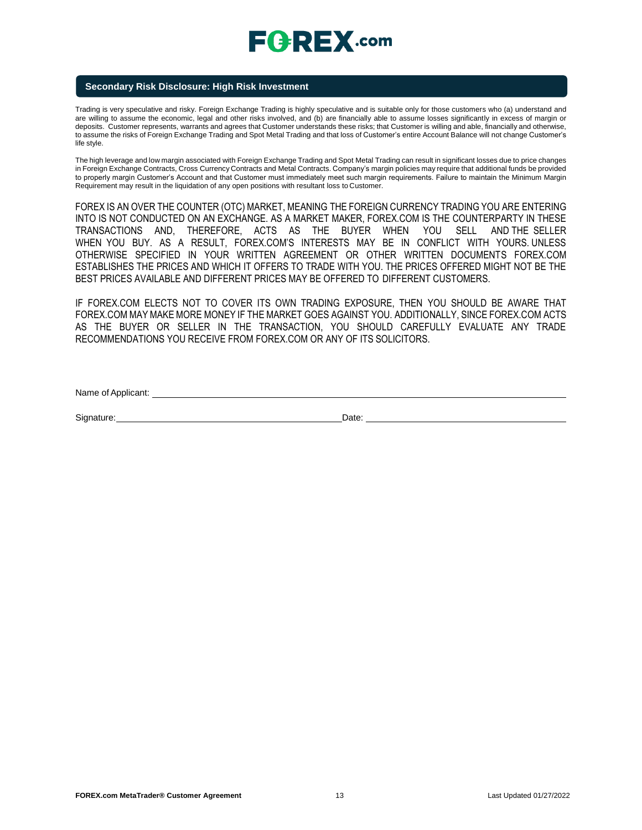# **FGREX.com**

## **Secondary Risk Disclosure: High Risk Investment**

Trading is very speculative and risky. Foreign Exchange Trading is highly speculative and is suitable only for those customers who (a) understand and are willing to assume the economic, legal and other risks involved, and (b) are financially able to assume losses significantly in excess of margin or deposits. Customer represents, warrants and agrees that Customer understands these risks; that Customer is willing and able, financially and otherwise, to assume the risks of Foreign Exchange Trading and Spot Metal Trading and that loss of Customer's entire Account Balance will not change Customer's life style.

The high leverage and low margin associated with Foreign Exchange Trading and Spot Metal Trading can result in significant losses due to price changes in Foreign Exchange Contracts, Cross Currency Contracts and Metal Contracts. Company's margin policies may require that additional funds be provided to properly margin Customer's Account and that Customer must immediately meet such margin requirements. Failure to maintain the Minimum Margin Requirement may result in the liquidation of any open positions with resultant loss to Customer.

FOREX IS AN OVER THE COUNTER (OTC) MARKET, MEANING THE FOREIGN CURRENCY TRADING YOU ARE ENTERING INTO IS NOT CONDUCTED ON AN EXCHANGE. AS A MARKET MAKER, FOREX.COM IS THE COUNTERPARTY IN THESE TRANSACTIONS AND, THEREFORE, ACTS AS THE BUYER WHEN YOU SELL AND THE SELLER WHEN YOU BUY. AS A RESULT, FOREX.COM'S INTERESTS MAY BE IN CONFLICT WITH YOURS. UNLESS OTHERWISE SPECIFIED IN YOUR WRITTEN AGREEMENT OR OTHER WRITTEN DOCUMENTS FOREX.COM ESTABLISHES THE PRICES AND WHICH IT OFFERS TO TRADE WITH YOU. THE PRICES OFFERED MIGHT NOT BE THE BEST PRICES AVAILABLE AND DIFFERENT PRICES MAY BE OFFERED TO DIFFERENT CUSTOMERS.

IF FOREX.COM ELECTS NOT TO COVER ITS OWN TRADING EXPOSURE, THEN YOU SHOULD BE AWARE THAT FOREX.COM MAY MAKE MORE MONEY IF THE MARKET GOES AGAINST YOU. ADDITIONALLY, SINCE FOREX.COM ACTS AS THE BUYER OR SELLER IN THE TRANSACTION, YOU SHOULD CAREFULLY EVALUATE ANY TRADE RECOMMENDATIONS YOU RECEIVE FROM FOREX.COM OR ANY OF ITS SOLICITORS.

Name of Applicant:  $\blacksquare$ 

Signature: Date: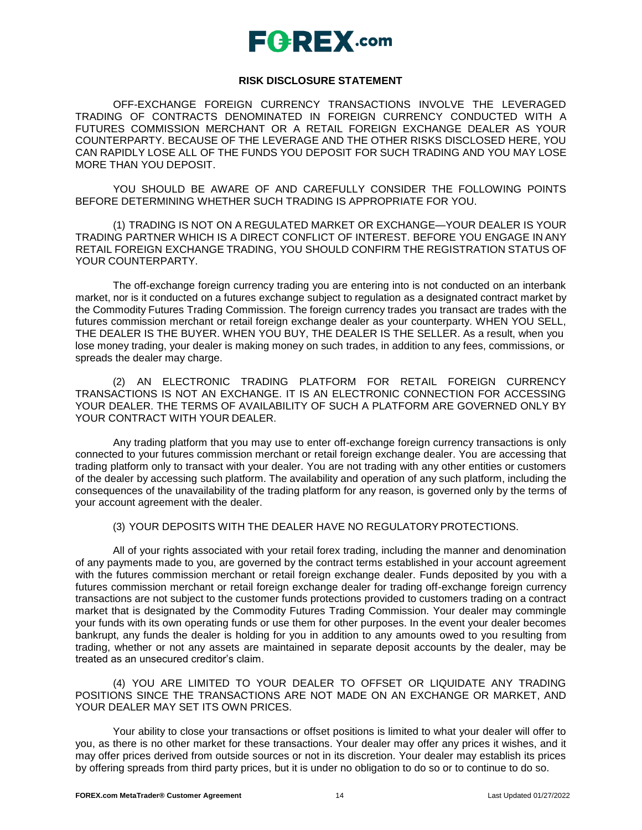## **FGREX.com**

## **RISK DISCLOSURE STATEMENT**

OFF-EXCHANGE FOREIGN CURRENCY TRANSACTIONS INVOLVE THE LEVERAGED TRADING OF CONTRACTS DENOMINATED IN FOREIGN CURRENCY CONDUCTED WITH A FUTURES COMMISSION MERCHANT OR A RETAIL FOREIGN EXCHANGE DEALER AS YOUR COUNTERPARTY. BECAUSE OF THE LEVERAGE AND THE OTHER RISKS DISCLOSED HERE, YOU CAN RAPIDLY LOSE ALL OF THE FUNDS YOU DEPOSIT FOR SUCH TRADING AND YOU MAY LOSE MORE THAN YOU DEPOSIT.

YOU SHOULD BE AWARE OF AND CAREFULLY CONSIDER THE FOLLOWING POINTS BEFORE DETERMINING WHETHER SUCH TRADING IS APPROPRIATE FOR YOU.

(1) TRADING IS NOT ON A REGULATED MARKET OR EXCHANGE—YOUR DEALER IS YOUR TRADING PARTNER WHICH IS A DIRECT CONFLICT OF INTEREST. BEFORE YOU ENGAGE IN ANY RETAIL FOREIGN EXCHANGE TRADING, YOU SHOULD CONFIRM THE REGISTRATION STATUS OF YOUR COUNTERPARTY.

The off-exchange foreign currency trading you are entering into is not conducted on an interbank market, nor is it conducted on a futures exchange subject to regulation as a designated contract market by the Commodity Futures Trading Commission. The foreign currency trades you transact are trades with the futures commission merchant or retail foreign exchange dealer as your counterparty. WHEN YOU SELL, THE DEALER IS THE BUYER. WHEN YOU BUY, THE DEALER IS THE SELLER. As a result, when you lose money trading, your dealer is making money on such trades, in addition to any fees, commissions, or spreads the dealer may charge.

(2) AN ELECTRONIC TRADING PLATFORM FOR RETAIL FOREIGN CURRENCY TRANSACTIONS IS NOT AN EXCHANGE. IT IS AN ELECTRONIC CONNECTION FOR ACCESSING YOUR DEALER. THE TERMS OF AVAILABILITY OF SUCH A PLATFORM ARE GOVERNED ONLY BY YOUR CONTRACT WITH YOUR DEALER.

Any trading platform that you may use to enter off-exchange foreign currency transactions is only connected to your futures commission merchant or retail foreign exchange dealer. You are accessing that trading platform only to transact with your dealer. You are not trading with any other entities or customers of the dealer by accessing such platform. The availability and operation of any such platform, including the consequences of the unavailability of the trading platform for any reason, is governed only by the terms of your account agreement with the dealer.

(3) YOUR DEPOSITS WITH THE DEALER HAVE NO REGULATORYPROTECTIONS.

All of your rights associated with your retail forex trading, including the manner and denomination of any payments made to you, are governed by the contract terms established in your account agreement with the futures commission merchant or retail foreign exchange dealer. Funds deposited by you with a futures commission merchant or retail foreign exchange dealer for trading off-exchange foreign currency transactions are not subject to the customer funds protections provided to customers trading on a contract market that is designated by the Commodity Futures Trading Commission. Your dealer may commingle your funds with its own operating funds or use them for other purposes. In the event your dealer becomes bankrupt, any funds the dealer is holding for you in addition to any amounts owed to you resulting from trading, whether or not any assets are maintained in separate deposit accounts by the dealer, may be treated as an unsecured creditor's claim.

(4) YOU ARE LIMITED TO YOUR DEALER TO OFFSET OR LIQUIDATE ANY TRADING POSITIONS SINCE THE TRANSACTIONS ARE NOT MADE ON AN EXCHANGE OR MARKET, AND YOUR DEALER MAY SET ITS OWN PRICES.

Your ability to close your transactions or offset positions is limited to what your dealer will offer to you, as there is no other market for these transactions. Your dealer may offer any prices it wishes, and it may offer prices derived from outside sources or not in its discretion. Your dealer may establish its prices by offering spreads from third party prices, but it is under no obligation to do so or to continue to do so.